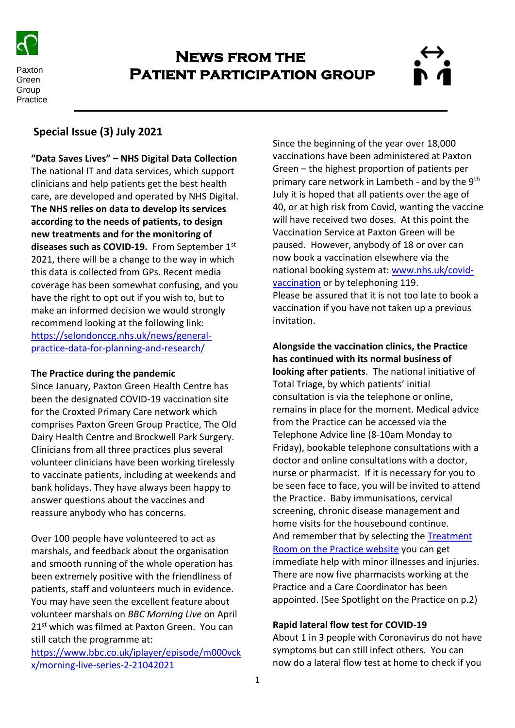

Paxton Green **Group Practice** 

# **News from the Patient participation group**



# **Special Issue (3) July 2021**

**"Data Saves Lives" – NHS Digital Data Collection** The national IT and data services, which support clinicians and help patients get the best health care, are developed and operated by NHS Digital. **The NHS relies on data to develop its services according to the needs of patients, to design new treatments and for the monitoring of diseases such as COVID-19.** From September 1st 2021, there will be a change to the way in which this data is collected from GPs. Recent media coverage has been somewhat confusing, and you have the right to opt out if you wish to, but to make an informed decision we would strongly recommend looking at the following link: [https://selondonccg.nhs.uk/news/general](https://selondonccg.nhs.uk/news/general-practice-data-for-planning-and-research/)[practice-data-for-planning-and-research/](https://selondonccg.nhs.uk/news/general-practice-data-for-planning-and-research/)

# **The Practice during the pandemic**

Since January, Paxton Green Health Centre has been the designated COVID-19 vaccination site for the Croxted Primary Care network which comprises Paxton Green Group Practice, The Old Dairy Health Centre and Brockwell Park Surgery. Clinicians from all three practices plus several volunteer clinicians have been working tirelessly to vaccinate patients, including at weekends and bank holidays. They have always been happy to answer questions about the vaccines and reassure anybody who has concerns.

Over 100 people have volunteered to act as marshals, and feedback about the organisation and smooth running of the whole operation has been extremely positive with the friendliness of patients, staff and volunteers much in evidence. You may have seen the excellent feature about volunteer marshals on *BBC Morning Live* on April 21<sup>st</sup> which was filmed at Paxton Green. You can still catch the programme at:

[https://www.bbc.co.uk/iplayer/episode/m000vck](https://www.bbc.co.uk/iplayer/episode/m000vckx/morning-live-series-2-21042021) [x/morning-live-series-2-21042021](https://www.bbc.co.uk/iplayer/episode/m000vckx/morning-live-series-2-21042021) 

Since the beginning of the year over 18,000 vaccinations have been administered at Paxton Green – the highest proportion of patients per primary care network in Lambeth - and by the 9<sup>th</sup> July it is hoped that all patients over the age of 40, or at high risk from Covid, wanting the vaccine will have received two doses. At this point the Vaccination Service at Paxton Green will be paused. However, anybody of 18 or over can now book a vaccination elsewhere via the national booking system at[: www.nhs.uk/covid](http://www.nhs.uk/covid-vaccination)[vaccination](http://www.nhs.uk/covid-vaccination) or by telephoning 119. Please be assured that it is not too late to book a vaccination if you have not taken up a previous invitation.

**Alongside the vaccination clinics, the Practice has continued with its normal business of looking after patients**. The national initiative of Total Triage, by which patients' initial consultation is via the telephone or online, remains in place for the moment. Medical advice from the Practice can be accessed via the Telephone Advice line (8-10am Monday to Friday), bookable telephone consultations with a doctor and online consultations with a doctor, nurse or pharmacist. If it is necessary for you to be seen face to face, you will be invited to attend the Practice. Baby immunisations, cervical screening, chronic disease management and home visits for the housebound continue. And remember that by selecting the [Treatment](https://www.paxtongreen.uk/digitalpractice/common-illnesses/)  [Room on the Practice website](https://www.paxtongreen.uk/digitalpractice/common-illnesses/) you can get immediate help with minor illnesses and injuries. There are now five pharmacists working at the Practice and a Care Coordinator has been appointed. (See Spotlight on the Practice on p.2)

# **Rapid lateral flow test for COVID-19**

About 1 in 3 people with Coronavirus do not have symptoms but can still infect others. You can now do a lateral flow test at home to check if you